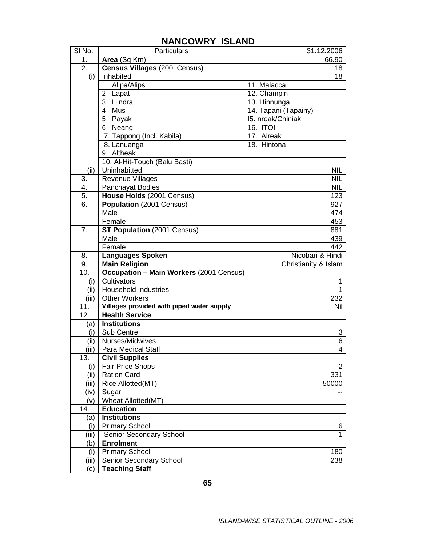| SI.No.           | <b>Particulars</b>                               | 31.12.2006               |
|------------------|--------------------------------------------------|--------------------------|
| 1.               | Area (Sq Km)                                     | 66.90                    |
| $\overline{2}$ . | <b>Census Villages (2001Census)</b>              | 18                       |
| (i)              | Inhabited                                        | 18                       |
|                  | 1. Alipa/Alips                                   | $\overline{1}1.$ Malacca |
|                  | 2. Lapat                                         | 12. Champin              |
|                  | $3.$ Hindra                                      | 13. Hinnunga             |
|                  | 4. Mus                                           | 14. Tapani (Tapainy)     |
|                  | 5. Payak                                         | 15. nroak/Chiniak        |
|                  | 6. Neang                                         | $16.$ ITOI               |
|                  | 7. Tappong (Incl. Kabila)                        | 17. Alreak               |
|                  | 8. Lanuanga                                      | 18. Hintona              |
|                  | 9. Altheak                                       |                          |
|                  | 10. Al-Hit-Touch (Balu Basti)                    |                          |
| (iii)            | Uninhabitted                                     | <b>NIL</b>               |
| 3.               | Revenue Villages                                 | <b>NIL</b>               |
| 4.               | Panchayat Bodies                                 | <b>NIL</b>               |
| 5.               | House Holds (2001 Census)                        | 123                      |
| 6.               | Population (2001 Census)                         | 927                      |
|                  | Male                                             | 474                      |
|                  | Female                                           | 453                      |
| 7.               | ST Population (2001 Census)                      | 881                      |
|                  | Male                                             | 439                      |
|                  | Female                                           | 442                      |
| 8.               | <b>Languages Spoken</b>                          | Nicobari & Hindi         |
| 9.               | <b>Main Religion</b>                             | Christianity & Islam     |
| 10.              | Occupation - Main Workers (2001 Census)          |                          |
| (i)              | Cultivators                                      | 1                        |
| (ii)             | <b>Household Industries</b>                      | 1                        |
| (iii)            | <b>Other Workers</b>                             | 232                      |
| 11.              | Villages provided with piped water supply        | Nil                      |
| 12.              | <b>Health Service</b>                            |                          |
| (a)              | <b>Institutions</b>                              |                          |
| (i)              | Sub Centre                                       | 3                        |
| (ii)             | Nurses/Midwives                                  | 6                        |
| (iii)            | Para Medical Staff                               | 4                        |
| 13.              | <b>Civil Supplies</b>                            |                          |
| (i)              | Fair Price Shops                                 | 2                        |
| (iii)            | <b>Ration Card</b>                               | 331                      |
| (iii)            | Rice Allotted(MT)                                | 50000                    |
| (iv)             | Sugar                                            | --                       |
| (v)              | Wheat Allotted(MT)                               |                          |
| 14.              | <b>Education</b>                                 |                          |
| (a)              | <b>Institutions</b>                              |                          |
| (i)              | <b>Primary School</b>                            | 6                        |
| (iii)            | Senior Secondary School                          | 1                        |
| (b)              | <b>Enrolment</b>                                 |                          |
| (i)              | <b>Primary School</b>                            | 180                      |
| (iii)            | Senior Secondary School<br><b>Teaching Staff</b> | 238                      |
| (c)              |                                                  |                          |

## **NANCOWRY ISLAND**